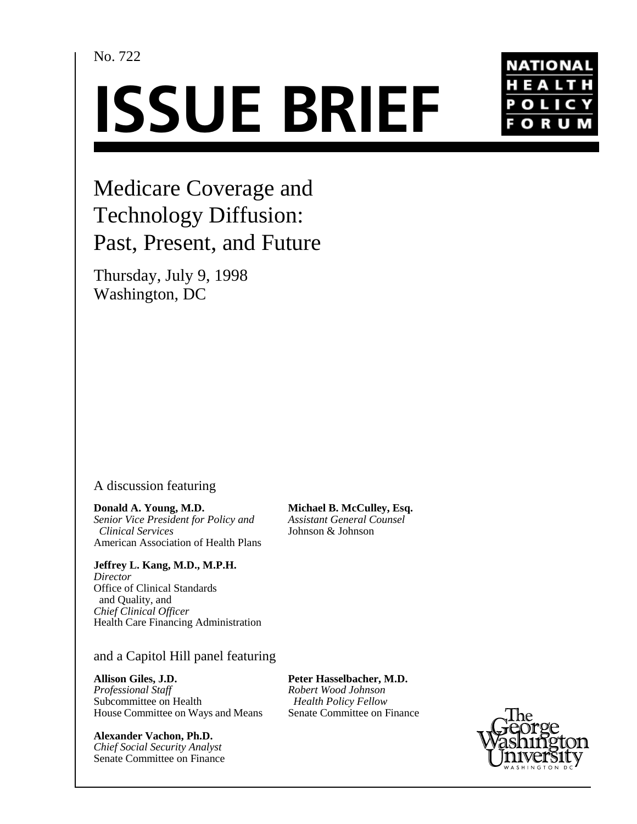## No. 722

# **ISSUE BRIEF**



# Medicare Coverage and Technology Diffusion: Past, Present, and Future

Thursday, July 9, 1998 Washington, DC

### A discussion featuring

**Donald A. Young, M.D.** *Senior Vice President for Policy and Clinical Services* American Association of Health Plans

**Jeffrey L. Kang, M.D., M.P.H.** *Director*

Office of Clinical Standards and Quality, and *Chief Clinical Officer* Health Care Financing Administration

and a Capitol Hill panel featuring

#### **Allison Giles, J.D.**

*Professional Staff* Subcommittee on Health House Committee on Ways and Means

**Alexander Vachon, Ph.D.** *Chief Social Security Analyst* Senate Committee on Finance

**Michael B. McCulley, Esq.** *Assistant General Counsel* Johnson & Johnson

**Peter Hasselbacher, M.D.** *Robert Wood Johnson Health Policy Fellow* Senate Committee on Finance

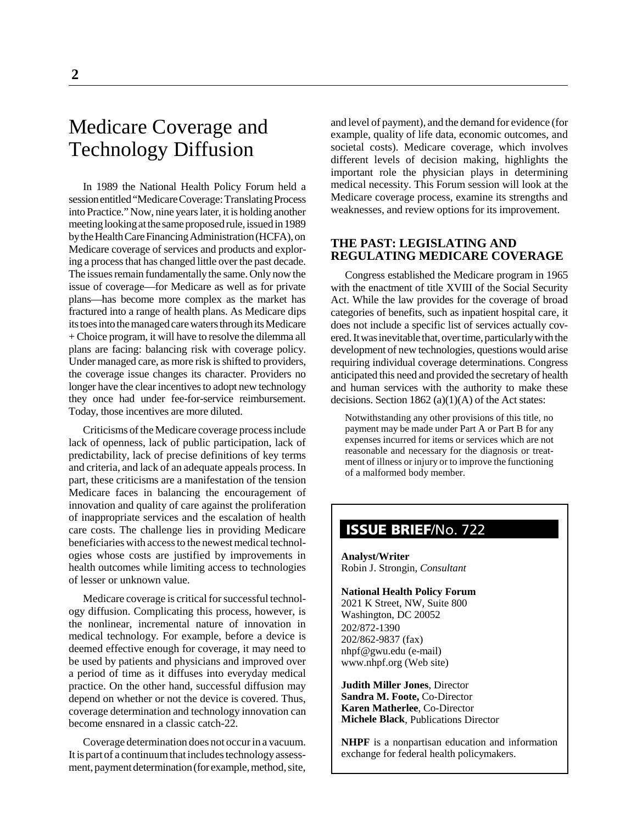# Medicare Coverage and Technology Diffusion

In 1989 the National Health Policy Forum held a session entitled "Medicare Coverage: Translating Process into Practice." Now, nine years later, it is holding another meeting looking at the same proposed rule, issued in 1989 by the Health Care Financing Administration (HCFA), on Medicare coverage of services and products and exploring a process that has changed little over the past decade. The issues remain fundamentally the same. Only now the issue of coverage—for Medicare as well as for private plans—has become more complex as the market has fractured into a range of health plans. As Medicare dips its toes into the managed care waters through its Medicare + Choice program, it will have to resolve the dilemma all plans are facing: balancing risk with coverage policy. Under managed care, as more risk is shifted to providers, the coverage issue changes its character. Providers no longer have the clear incentives to adopt new technology they once had under fee-for-service reimbursement. Today, those incentives are more diluted.

Criticisms of the Medicare coverage process include lack of openness, lack of public participation, lack of predictability, lack of precise definitions of key terms and criteria, and lack of an adequate appeals process. In part, these criticisms are a manifestation of the tension Medicare faces in balancing the encouragement of innovation and quality of care against the proliferation of inappropriate services and the escalation of health care costs. The challenge lies in providing Medicare beneficiaries with access to the newest medical technologies whose costs are justified by improvements in health outcomes while limiting access to technologies of lesser or unknown value.

Medicare coverage is critical for successful technology diffusion. Complicating this process, however, is the nonlinear, incremental nature of innovation in medical technology. For example, before a device is deemed effective enough for coverage, it may need to be used by patients and physicians and improved over a period of time as it diffuses into everyday medical practice. On the other hand, successful diffusion may depend on whether or not the device is covered. Thus, coverage determination and technology innovation can become ensnared in a classic catch-22.

Coverage determination does not occur in a vacuum. It is part of a continuum that includes technology assessment, payment determination (for example, method, site,

and level of payment), and the demand for evidence (for example, quality of life data, economic outcomes, and societal costs). Medicare coverage, which involves different levels of decision making, highlights the important role the physician plays in determining medical necessity. This Forum session will look at the Medicare coverage process, examine its strengths and weaknesses, and review options for its improvement.

#### **THE PAST: LEGISLATING AND REGULATING MEDICARE COVERAGE**

Congress established the Medicare program in 1965 with the enactment of title XVIII of the Social Security Act. While the law provides for the coverage of broad categories of benefits, such as inpatient hospital care, it does not include a specific list of services actually covered. It was inevitable that, over time, particularly with the development of new technologies, questions would arise requiring individual coverage determinations. Congress anticipated this need and provided the secretary of health and human services with the authority to make these decisions. Section  $1862$  (a)(1)(A) of the Act states:

Notwithstanding any other provisions of this title, no payment may be made under Part A or Part B for any expenses incurred for items or services which are not reasonable and necessary for the diagnosis or treatment of illness or injury or to improve the functioning of a malformed body member.

## **ISSUE BRIEF**/No. 722

**Analyst/Writer** Robin J. Strongin, *Consultant*

#### **National Health Policy Forum**

2021 K Street, NW, Suite 800 Washington, DC 20052 202/872-1390 202/862-9837 (fax) nhpf@gwu.edu (e-mail) www.nhpf.org (Web site)

**Judith Miller Jones**, Director **Sandra M. Foote,** Co-Director **Karen Matherlee**, Co-Director **Michele Black**, Publications Director

**NHPF** is a nonpartisan education and information exchange for federal health policymakers.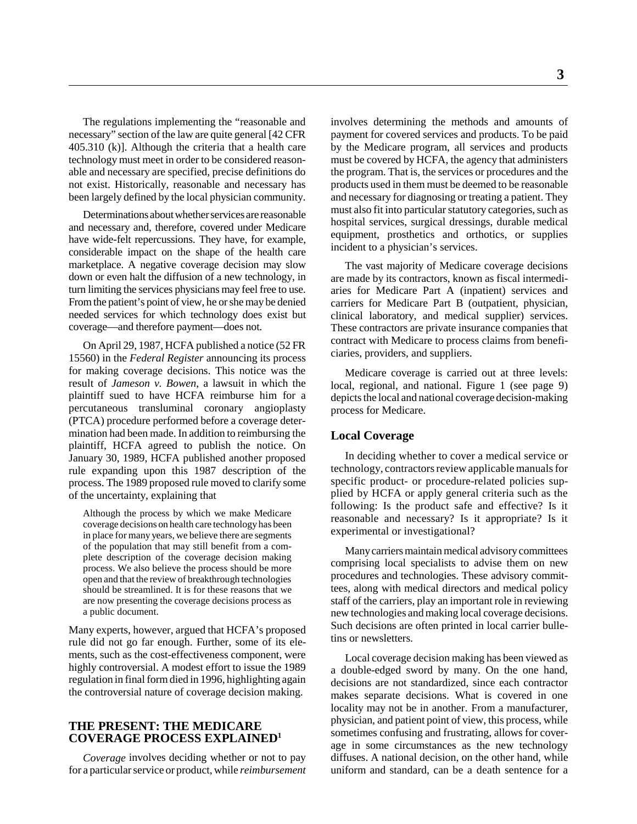The regulations implementing the "reasonable and necessary" section of the law are quite general [42 CFR 405.310 (k)]. Although the criteria that a health care technology must meet in order to be considered reasonable and necessary are specified, precise definitions do not exist. Historically, reasonable and necessary has been largely defined by the local physician community.

Determinations about whether services are reasonable and necessary and, therefore, covered under Medicare have wide-felt repercussions. They have, for example, considerable impact on the shape of the health care marketplace. A negative coverage decision may slow down or even halt the diffusion of a new technology, in turn limiting the services physicians may feel free to use. From the patient's point of view, he or she may be denied needed services for which technology does exist but coverage—and therefore payment—does not.

On April 29, 1987, HCFA published a notice (52 FR 15560) in the *Federal Register* announcing its process for making coverage decisions. This notice was the result of *Jameson v. Bowen*, a lawsuit in which the plaintiff sued to have HCFA reimburse him for a percutaneous transluminal coronary angioplasty (PTCA) procedure performed before a coverage determination had been made. In addition to reimbursing the plaintiff, HCFA agreed to publish the notice. On January 30, 1989, HCFA published another proposed rule expanding upon this 1987 description of the process. The 1989 proposed rule moved to clarify some of the uncertainty, explaining that

Although the process by which we make Medicare coverage decisions on health care technology has been in place for many years, we believe there are segments of the population that may still benefit from a complete description of the coverage decision making process. We also believe the process should be more open and that the review of breakthrough technologies should be streamlined. It is for these reasons that we are now presenting the coverage decisions process as a public document.

Many experts, however, argued that HCFA's proposed rule did not go far enough. Further, some of its elements, such as the cost-effectiveness component, were highly controversial. A modest effort to issue the 1989 regulation in final form died in 1996, highlighting again the controversial nature of coverage decision making.

#### **THE PRESENT: THE MEDICARE COVERAGE PROCESS EXPLAINED1**

*Coverage* involves deciding whether or not to pay for a particular service or product, while *reimbursement*

involves determining the methods and amounts of payment for covered services and products. To be paid by the Medicare program, all services and products must be covered by HCFA, the agency that administers the program. That is, the services or procedures and the products used in them must be deemed to be reasonable and necessary for diagnosing or treating a patient. They must also fit into particular statutory categories, such as hospital services, surgical dressings, durable medical equipment, prosthetics and orthotics, or supplies incident to a physician's services.

The vast majority of Medicare coverage decisions are made by its contractors, known as fiscal intermediaries for Medicare Part A (inpatient) services and carriers for Medicare Part B (outpatient, physician, clinical laboratory, and medical supplier) services. These contractors are private insurance companies that contract with Medicare to process claims from beneficiaries, providers, and suppliers.

Medicare coverage is carried out at three levels: local, regional, and national. Figure 1 (see page 9) depicts the local and national coverage decision-making process for Medicare.

#### **Local Coverage**

In deciding whether to cover a medical service or technology, contractors review applicable manuals for specific product- or procedure-related policies supplied by HCFA or apply general criteria such as the following: Is the product safe and effective? Is it reasonable and necessary? Is it appropriate? Is it experimental or investigational?

Many carriers maintain medical advisory committees comprising local specialists to advise them on new procedures and technologies. These advisory committees, along with medical directors and medical policy staff of the carriers, play an important role in reviewing new technologies and making local coverage decisions. Such decisions are often printed in local carrier bulletins or newsletters.

Local coverage decision making has been viewed as a double-edged sword by many. On the one hand, decisions are not standardized, since each contractor makes separate decisions. What is covered in one locality may not be in another. From a manufacturer, physician, and patient point of view, this process, while sometimes confusing and frustrating, allows for coverage in some circumstances as the new technology diffuses. A national decision, on the other hand, while uniform and standard, can be a death sentence for a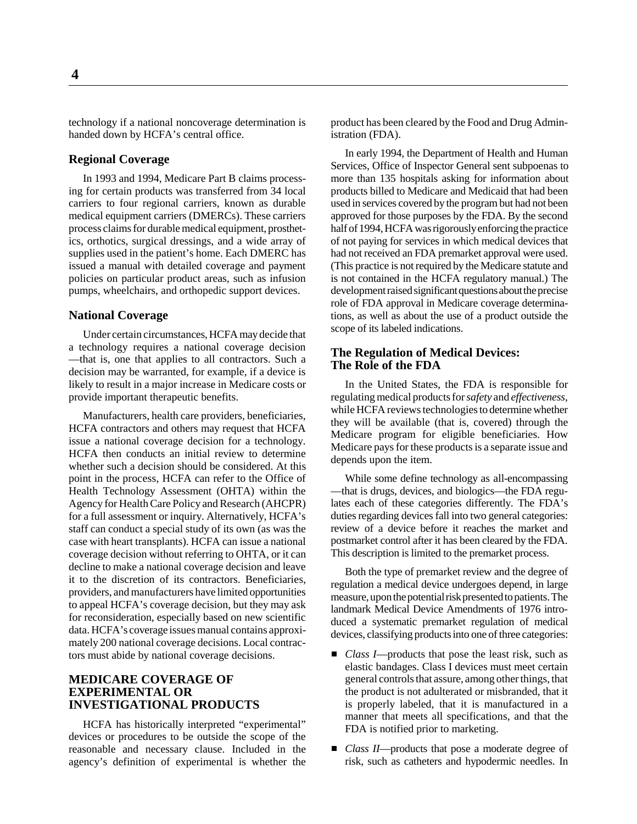technology if a national noncoverage determination is handed down by HCFA's central office.

#### **Regional Coverage**

In 1993 and 1994, Medicare Part B claims processing for certain products was transferred from 34 local carriers to four regional carriers, known as durable medical equipment carriers (DMERCs). These carriers process claims for durable medical equipment, prosthetics, orthotics, surgical dressings, and a wide array of supplies used in the patient's home. Each DMERC has issued a manual with detailed coverage and payment policies on particular product areas, such as infusion pumps, wheelchairs, and orthopedic support devices.

#### **National Coverage**

Under certain circumstances, HCFA may decide that a technology requires a national coverage decision —that is, one that applies to all contractors. Such a decision may be warranted, for example, if a device is likely to result in a major increase in Medicare costs or provide important therapeutic benefits.

Manufacturers, health care providers, beneficiaries, HCFA contractors and others may request that HCFA issue a national coverage decision for a technology. HCFA then conducts an initial review to determine whether such a decision should be considered. At this point in the process, HCFA can refer to the Office of Health Technology Assessment (OHTA) within the Agency for Health Care Policy and Research (AHCPR) for a full assessment or inquiry. Alternatively, HCFA's staff can conduct a special study of its own (as was the case with heart transplants). HCFA can issue a national coverage decision without referring to OHTA, or it can decline to make a national coverage decision and leave it to the discretion of its contractors. Beneficiaries, providers, and manufacturers have limited opportunities to appeal HCFA's coverage decision, but they may ask for reconsideration, especially based on new scientific data. HCFA's coverage issues manual contains approximately 200 national coverage decisions. Local contractors must abide by national coverage decisions.

#### **MEDICARE COVERAGE OF EXPERIMENTAL OR INVESTIGATIONAL PRODUCTS**

HCFA has historically interpreted "experimental" devices or procedures to be outside the scope of the reasonable and necessary clause. Included in the agency's definition of experimental is whether the product has been cleared by the Food and Drug Administration (FDA).

In early 1994, the Department of Health and Human Services, Office of Inspector General sent subpoenas to more than 135 hospitals asking for information about products billed to Medicare and Medicaid that had been used in services covered by the program but had not been approved for those purposes by the FDA. By the second half of 1994, HCFA was rigorously enforcing the practice of not paying for services in which medical devices that had not received an FDA premarket approval were used. (This practice is not required by the Medicare statute and is not contained in the HCFA regulatory manual.) The development raised significant questions about the precise role of FDA approval in Medicare coverage determinations, as well as about the use of a product outside the scope of its labeled indications.

#### **The Regulation of Medical Devices: The Role of the FDA**

In the United States, the FDA is responsible for regulating medical products for *safety* and *effectiveness*, while HCFA reviews technologies to determine whether they will be available (that is, covered) through the Medicare program for eligible beneficiaries. How Medicare pays for these products is a separate issue and depends upon the item.

While some define technology as all-encompassing —that is drugs, devices, and biologics—the FDA regulates each of these categories differently. The FDA's duties regarding devices fall into two general categories: review of a device before it reaches the market and postmarket control after it has been cleared by the FDA. This description is limited to the premarket process.

Both the type of premarket review and the degree of regulation a medical device undergoes depend, in large measure, upon the potential risk presented to patients. The landmark Medical Device Amendments of 1976 introduced a systematic premarket regulation of medical devices, classifying products into one of three categories:

- *Class I*—products that pose the least risk, such as elastic bandages. Class I devices must meet certain general controls that assure, among other things, that the product is not adulterated or misbranded, that it is properly labeled, that it is manufactured in a manner that meets all specifications, and that the FDA is notified prior to marketing.
- *Class II*—products that pose a moderate degree of risk, such as catheters and hypodermic needles. In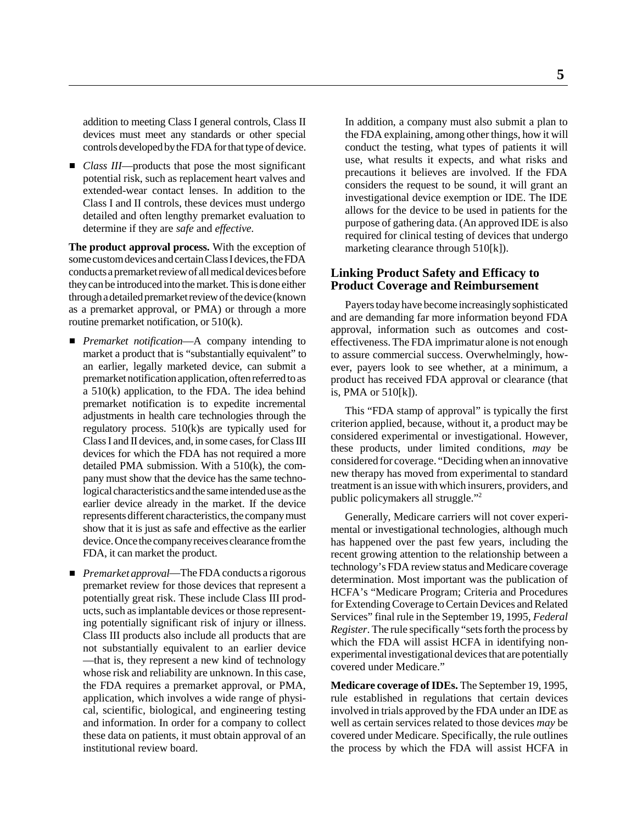addition to meeting Class I general controls, Class II devices must meet any standards or other special controls developed by the FDA for that type of device.

■ *Class III*—products that pose the most significant potential risk, such as replacement heart valves and extended-wear contact lenses. In addition to the Class I and II controls, these devices must undergo detailed and often lengthy premarket evaluation to determine if they are *safe* and *effective.*

**The product approval process.** With the exception of some custom devices and certain Class I devices, the FDA conducts a premarket review of all medical devices before they can be introduced into the market. This is done either through a detailed premarket review of the device (known as a premarket approval, or PMA) or through a more routine premarket notification, or 510(k).

- *Premarket notification*—A company intending to market a product that is "substantially equivalent" to an earlier, legally marketed device, can submit a premarket notification application, often referred to as a 510(k) application, to the FDA. The idea behind premarket notification is to expedite incremental adjustments in health care technologies through the regulatory process. 510(k)s are typically used for Class I and II devices, and, in some cases, for Class III devices for which the FDA has not required a more detailed PMA submission. With a 510(k), the company must show that the device has the same technological characteristics and the same intended use as the earlier device already in the market. If the device represents different characteristics, the company must show that it is just as safe and effective as the earlier device. Once the company receives clearance from the FDA, it can market the product.
- *Premarket approval*—The FDA conducts a rigorous premarket review for those devices that represent a potentially great risk. These include Class III products, such as implantable devices or those representing potentially significant risk of injury or illness. Class III products also include all products that are not substantially equivalent to an earlier device —that is, they represent a new kind of technology whose risk and reliability are unknown. In this case, the FDA requires a premarket approval, or PMA, application, which involves a wide range of physical, scientific, biological, and engineering testing and information. In order for a company to collect these data on patients, it must obtain approval of an institutional review board.

In addition, a company must also submit a plan to the FDA explaining, among other things, how it will conduct the testing, what types of patients it will use, what results it expects, and what risks and precautions it believes are involved. If the FDA considers the request to be sound, it will grant an investigational device exemption or IDE. The IDE allows for the device to be used in patients for the purpose of gathering data. (An approved IDE is also required for clinical testing of devices that undergo marketing clearance through 510[k]).

#### **Linking Product Safety and Efficacy to Product Coverage and Reimbursement**

Payers today have become increasingly sophisticated and are demanding far more information beyond FDA approval, information such as outcomes and costeffectiveness. The FDA imprimatur alone is not enough to assure commercial success. Overwhelmingly, however, payers look to see whether, at a minimum, a product has received FDA approval or clearance (that is, PMA or 510[k]).

This "FDA stamp of approval" is typically the first criterion applied, because, without it, a product may be considered experimental or investigational. However, these products, under limited conditions, *may* be considered for coverage. "Deciding when an innovative new therapy has moved from experimental to standard treatment is an issue with which insurers, providers, and public policymakers all struggle."2

Generally, Medicare carriers will not cover experimental or investigational technologies, although much has happened over the past few years, including the recent growing attention to the relationship between a technology's FDA review status and Medicare coverage determination. Most important was the publication of HCFA's "Medicare Program; Criteria and Procedures for Extending Coverage to Certain Devices and Related Services" final rule in the September 19, 1995, *Federal Register*. The rule specifically "sets forth the process by which the FDA will assist HCFA in identifying nonexperimental investigational devices that are potentially covered under Medicare."

**Medicare coverage of IDEs.** The September 19, 1995, rule established in regulations that certain devices involved in trials approved by the FDA under an IDE as well as certain services related to those devices *may* be covered under Medicare. Specifically, the rule outlines the process by which the FDA will assist HCFA in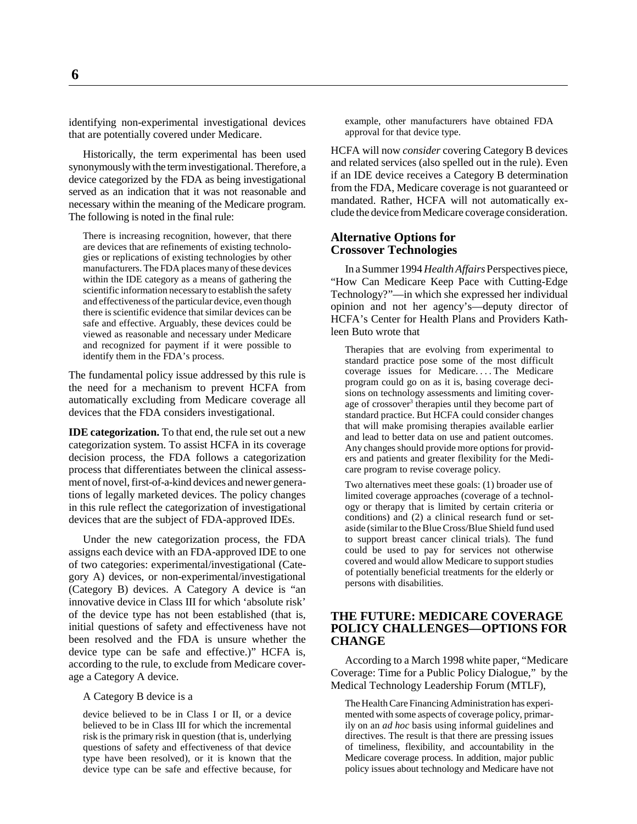identifying non-experimental investigational devices that are potentially covered under Medicare.

Historically, the term experimental has been used synonymously with the term investigational. Therefore, a device categorized by the FDA as being investigational served as an indication that it was not reasonable and necessary within the meaning of the Medicare program. The following is noted in the final rule:

There is increasing recognition, however, that there are devices that are refinements of existing technologies or replications of existing technologies by other manufacturers. The FDA places many of these devices within the IDE category as a means of gathering the scientific information necessary to establish the safety and effectiveness of the particular device, even though there is scientific evidence that similar devices can be safe and effective. Arguably, these devices could be viewed as reasonable and necessary under Medicare and recognized for payment if it were possible to identify them in the FDA's process.

The fundamental policy issue addressed by this rule is the need for a mechanism to prevent HCFA from automatically excluding from Medicare coverage all devices that the FDA considers investigational.

**IDE categorization.** To that end, the rule set out a new categorization system. To assist HCFA in its coverage decision process, the FDA follows a categorization process that differentiates between the clinical assessment of novel, first-of-a-kind devices and newer generations of legally marketed devices. The policy changes in this rule reflect the categorization of investigational devices that are the subject of FDA-approved IDEs.

Under the new categorization process, the FDA assigns each device with an FDA-approved IDE to one of two categories: experimental/investigational (Category A) devices, or non-experimental/investigational (Category B) devices. A Category A device is "an innovative device in Class III for which 'absolute risk' of the device type has not been established (that is, initial questions of safety and effectiveness have not been resolved and the FDA is unsure whether the device type can be safe and effective.)" HCFA is, according to the rule, to exclude from Medicare coverage a Category A device.

A Category B device is a

device believed to be in Class I or II, or a device believed to be in Class III for which the incremental risk is the primary risk in question (that is, underlying questions of safety and effectiveness of that device type have been resolved), or it is known that the device type can be safe and effective because, for example, other manufacturers have obtained FDA approval for that device type.

HCFA will now *consider* covering Category B devices and related services (also spelled out in the rule). Even if an IDE device receives a Category B determination from the FDA, Medicare coverage is not guaranteed or mandated. Rather, HCFA will not automatically exclude the device from Medicare coverage consideration.

#### **Alternative Options for Crossover Technologies**

In a Summer 1994 *Health Affairs* Perspectives piece, "How Can Medicare Keep Pace with Cutting-Edge Technology?"—in which she expressed her individual opinion and not her agency's—deputy director of HCFA's Center for Health Plans and Providers Kathleen Buto wrote that

Therapies that are evolving from experimental to standard practice pose some of the most difficult coverage issues for Medicare. . . . The Medicare program could go on as it is, basing coverage decisions on technology assessments and limiting coverage of crossover<sup>3</sup> therapies until they become part of standard practice. But HCFA could consider changes that will make promising therapies available earlier and lead to better data on use and patient outcomes. Any changes should provide more options for providers and patients and greater flexibility for the Medicare program to revise coverage policy.

Two alternatives meet these goals: (1) broader use of limited coverage approaches (coverage of a technology or therapy that is limited by certain criteria or conditions) and (2) a clinical research fund or setaside (similar to the Blue Cross/Blue Shield fund used to support breast cancer clinical trials). The fund could be used to pay for services not otherwise covered and would allow Medicare to support studies of potentially beneficial treatments for the elderly or persons with disabilities.

#### **THE FUTURE: MEDICARE COVERAGE POLICY CHALLENGES—OPTIONS FOR CHANGE**

According to a March 1998 white paper, "Medicare Coverage: Time for a Public Policy Dialogue," by the Medical Technology Leadership Forum (MTLF),

The Health Care Financing Administration has experimented with some aspects of coverage policy, primarily on an *ad hoc* basis using informal guidelines and directives. The result is that there are pressing issues of timeliness, flexibility, and accountability in the Medicare coverage process. In addition, major public policy issues about technology and Medicare have not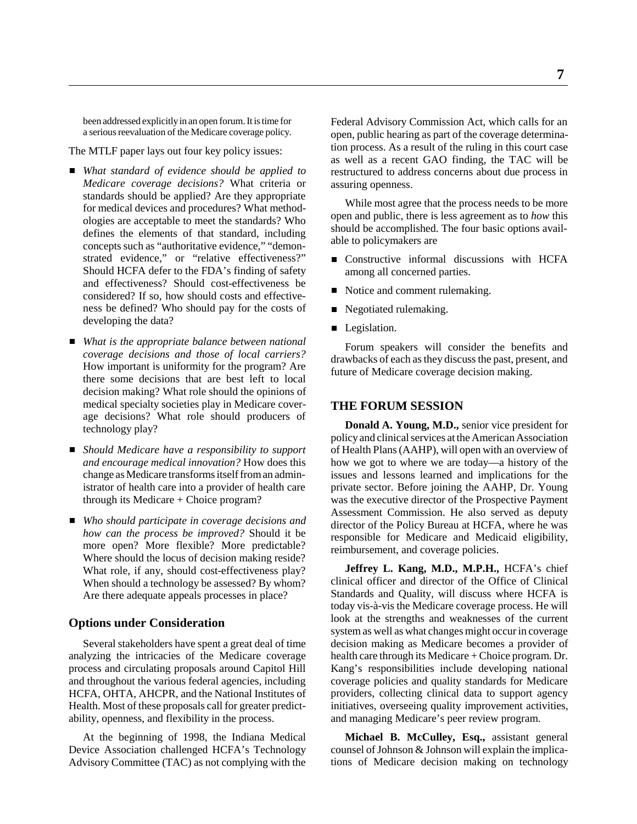been addressed explicitly in an open forum. It is time for a serious reevaluation of the Medicare coverage policy.

The MTLF paper lays out four key policy issues:

- *What standard of evidence should be applied to Medicare coverage decisions?* What criteria or standards should be applied? Are they appropriate for medical devices and procedures? What methodologies are acceptable to meet the standards? Who defines the elements of that standard, including concepts such as "authoritative evidence," "demonstrated evidence," or "relative effectiveness?" Should HCFA defer to the FDA's finding of safety and effectiveness? Should cost-effectiveness be considered? If so, how should costs and effectiveness be defined? Who should pay for the costs of developing the data?
- *What is the appropriate balance between national coverage decisions and those of local carriers?* How important is uniformity for the program? Are there some decisions that are best left to local decision making? What role should the opinions of medical specialty societies play in Medicare coverage decisions? What role should producers of technology play?
- *Should Medicare have a responsibility to support and encourage medical innovation?* How does this change as Medicare transforms itself from an administrator of health care into a provider of health care through its Medicare + Choice program?
- *Who should participate in coverage decisions and how can the process be improved?* Should it be more open? More flexible? More predictable? Where should the locus of decision making reside? What role, if any, should cost-effectiveness play? When should a technology be assessed? By whom? Are there adequate appeals processes in place?

#### **Options under Consideration**

Several stakeholders have spent a great deal of time analyzing the intricacies of the Medicare coverage process and circulating proposals around Capitol Hill and throughout the various federal agencies, including HCFA, OHTA, AHCPR, and the National Institutes of Health. Most of these proposals call for greater predictability, openness, and flexibility in the process.

At the beginning of 1998, the Indiana Medical Device Association challenged HCFA's Technology Advisory Committee (TAC) as not complying with the

Federal Advisory Commission Act, which calls for an open, public hearing as part of the coverage determination process. As a result of the ruling in this court case as well as a recent GAO finding, the TAC will be restructured to address concerns about due process in assuring openness.

While most agree that the process needs to be more open and public, there is less agreement as to *how* this should be accomplished. The four basic options available to policymakers are

- **Constructive informal discussions with HCFA** among all concerned parties.
- Notice and comment rulemaking.
- Negotiated rulemaking.
- **Legislation.**

Forum speakers will consider the benefits and drawbacks of each as they discuss the past, present, and future of Medicare coverage decision making.

#### **THE FORUM SESSION**

**Donald A. Young, M.D.,** senior vice president for policy and clinical services at the American Association of Health Plans (AAHP), will open with an overview of how we got to where we are today—a history of the issues and lessons learned and implications for the private sector. Before joining the AAHP, Dr. Young was the executive director of the Prospective Payment Assessment Commission. He also served as deputy director of the Policy Bureau at HCFA, where he was responsible for Medicare and Medicaid eligibility, reimbursement, and coverage policies.

**Jeffrey L. Kang, M.D., M.P.H.,** HCFA's chief clinical officer and director of the Office of Clinical Standards and Quality, will discuss where HCFA is today vis-à-vis the Medicare coverage process. He will look at the strengths and weaknesses of the current system as well as what changes might occur in coverage decision making as Medicare becomes a provider of health care through its Medicare + Choice program. Dr. Kang's responsibilities include developing national coverage policies and quality standards for Medicare providers, collecting clinical data to support agency initiatives, overseeing quality improvement activities, and managing Medicare's peer review program.

**Michael B. McCulley, Esq.,** assistant general counsel of Johnson & Johnson will explain the implications of Medicare decision making on technology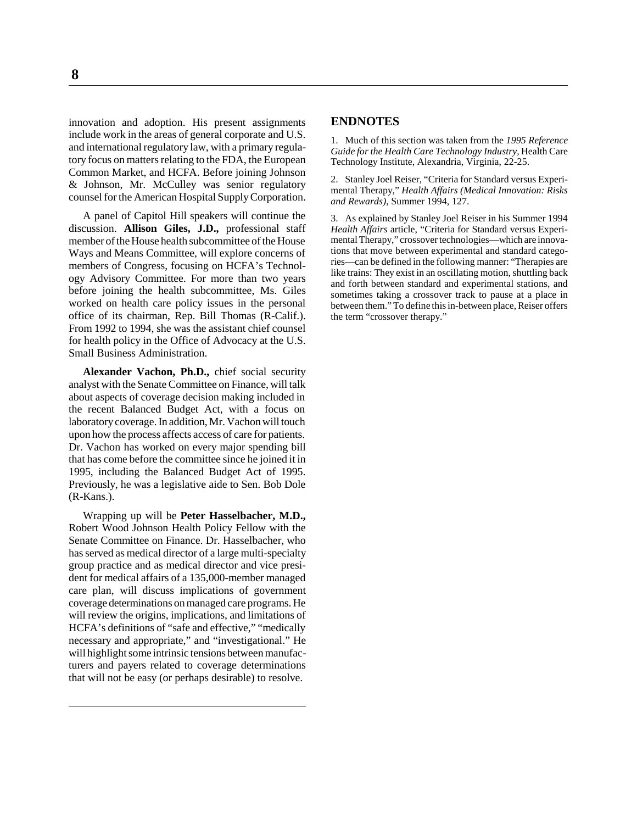innovation and adoption. His present assignments include work in the areas of general corporate and U.S. and international regulatory law, with a primary regulatory focus on matters relating to the FDA, the European Common Market, and HCFA. Before joining Johnson & Johnson, Mr. McCulley was senior regulatory counsel for the American Hospital Supply Corporation.

A panel of Capitol Hill speakers will continue the discussion. **Allison Giles, J.D.,** professional staff member of the House health subcommittee of the House Ways and Means Committee, will explore concerns of members of Congress, focusing on HCFA's Technology Advisory Committee. For more than two years before joining the health subcommittee, Ms. Giles worked on health care policy issues in the personal office of its chairman, Rep. Bill Thomas (R-Calif.). From 1992 to 1994, she was the assistant chief counsel for health policy in the Office of Advocacy at the U.S. Small Business Administration.

**Alexander Vachon, Ph.D.,** chief social security analyst with the Senate Committee on Finance, will talk about aspects of coverage decision making included in the recent Balanced Budget Act, with a focus on laboratory coverage. In addition, Mr. Vachon will touch upon how the process affects access of care for patients. Dr. Vachon has worked on every major spending bill that has come before the committee since he joined it in 1995, including the Balanced Budget Act of 1995. Previously, he was a legislative aide to Sen. Bob Dole (R-Kans.).

Wrapping up will be **Peter Hasselbacher, M.D.,** Robert Wood Johnson Health Policy Fellow with the Senate Committee on Finance. Dr. Hasselbacher, who has served as medical director of a large multi-specialty group practice and as medical director and vice president for medical affairs of a 135,000-member managed care plan, will discuss implications of government coverage determinations on managed care programs. He will review the origins, implications, and limitations of HCFA's definitions of "safe and effective," "medically necessary and appropriate," and "investigational." He will highlight some intrinsic tensions between manufacturers and payers related to coverage determinations that will not be easy (or perhaps desirable) to resolve.

#### **ENDNOTES**

1. Much of this section was taken from the *1995 Reference Guide for the Health Care Technology Industry,* Health Care Technology Institute, Alexandria, Virginia, 22-25.

2. Stanley Joel Reiser, "Criteria for Standard versus Experimental Therapy," *Health Affairs (Medical Innovation: Risks and Rewards)*, Summer 1994, 127.

3. As explained by Stanley Joel Reiser in his Summer 1994 *Health Affairs* article, "Criteria for Standard versus Experimental Therapy," crossover technologies—which are innovations that move between experimental and standard categories—can be defined in the following manner: "Therapies are like trains: They exist in an oscillating motion, shuttling back and forth between standard and experimental stations, and sometimes taking a crossover track to pause at a place in between them." To define this in-between place, Reiser offers the term "crossover therapy."